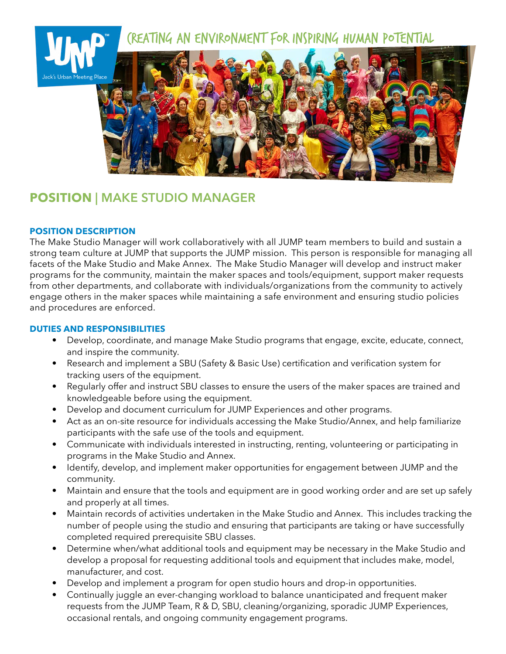

# **POSITION | MAKE STUDIO MANAGER**

## **POSITION DESCRIPTION**

The Make Studio Manager will work collaboratively with all JUMP team members to build and sustain a strong team culture at JUMP that supports the JUMP mission. This person is responsible for managing all facets of the Make Studio and Make Annex. The Make Studio Manager will develop and instruct maker programs for the community, maintain the maker spaces and tools/equipment, support maker requests from other departments, and collaborate with individuals/organizations from the community to actively engage others in the maker spaces while maintaining a safe environment and ensuring studio policies and procedures are enforced.

# **DUTIES AND RESPONSIBILITIES**

- Develop, coordinate, and manage Make Studio programs that engage, excite, educate, connect, and inspire the community.
- Research and implement a SBU (Safety & Basic Use) certification and verification system for tracking users of the equipment.
- Regularly offer and instruct SBU classes to ensure the users of the maker spaces are trained and knowledgeable before using the equipment.
- Develop and document curriculum for JUMP Experiences and other programs.
- Act as an on-site resource for individuals accessing the Make Studio/Annex, and help familiarize participants with the safe use of the tools and equipment.
- Communicate with individuals interested in instructing, renting, volunteering or participating in programs in the Make Studio and Annex.
- Identify, develop, and implement maker opportunities for engagement between JUMP and the community.
- Maintain and ensure that the tools and equipment are in good working order and are set up safely and properly at all times.
- Maintain records of activities undertaken in the Make Studio and Annex. This includes tracking the number of people using the studio and ensuring that participants are taking or have successfully completed required prerequisite SBU classes.
- Determine when/what additional tools and equipment may be necessary in the Make Studio and develop a proposal for requesting additional tools and equipment that includes make, model, manufacturer, and cost.
- Develop and implement a program for open studio hours and drop-in opportunities.
- Continually juggle an ever-changing workload to balance unanticipated and frequent maker requests from the JUMP Team, R & D, SBU, cleaning/organizing, sporadic JUMP Experiences, occasional rentals, and ongoing community engagement programs.